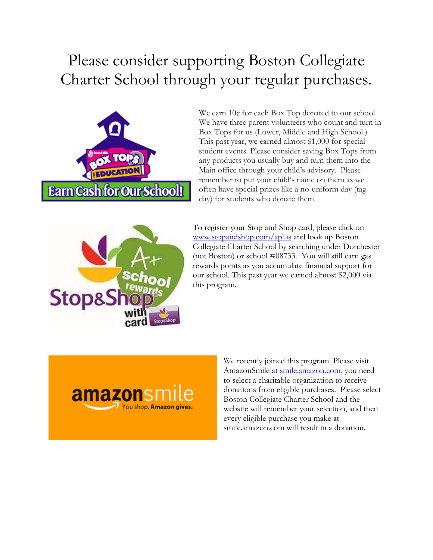## Please consider supporting Boston Collegiate Charter School through your regular purchases.



We earn  $10¢$  for each Box Top donated to our school. We have three parent volunteers who count and turn in Box Tops for us (Lower, Middle and High School.) This past year, we earned almost \$1,000 for special student events. Please consider saving Box Tops from any products you usually buy and turn them into the Main office through your child's advisory. Please remember to put your child's name on them as we often have special prizes like a no-uniform day (tag day) for students who donate them.



To register your Stop and Shop card, please click on [www.stopandshop.com/aplus](http://www.stopandshop.com/aplus) and look up Boston Collegiate Charter School by searching under Dorchester (not Boston) or school #08733. You will still earn gas rewards points as you accumulate financial support for our school. This past year we earned almost \$2,000 via this program.



We recently joined this program. Please visit AmazonSmile at [smile.amazon.com,](smile.amazon.com) you need to select a charitable organization to receive donations from eligible purchases. Please select Boston Collegiate Charter School and the website will remember your selection, and then every eligible purchase you make at smile.amazon.com will result in a donation.